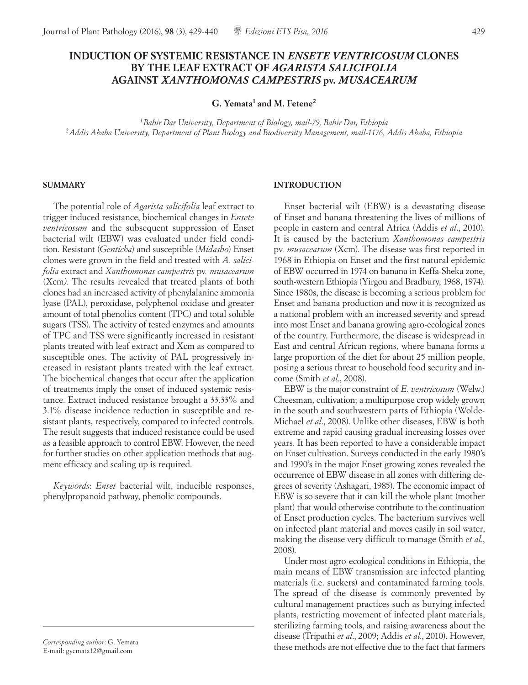# **INDUCTION OF SYSTEMIC RESISTANCE IN** *ENSETE VENTRICOSUM* **CLONES BY THE LEAF EXTRACT OF** *AGARISTA SALICIFOLIA* **AGAINST** *XANTHOMONAS CAMPESTRIS* **pv***. MUSACEARUM*

**G. Yemata1 and M. Fetene2**

*1Bahir Dar University, Department of Biology, mail-79, Bahir Dar, Ethiopia 2Addis Ababa University, Department of Plant Biology and Biodiversity Management, mail-1176, Addis Ababa, Ethiopia*

#### **SUMMARY**

The potential role of *Agarista salicifolia* leaf extract to trigger induced resistance, biochemical changes in *Ensete ventricosum* and the subsequent suppression of Enset bacterial wilt (EBW) was evaluated under field condition. Resistant (*Genticha*) and susceptible (*Midasho*) Enset clones were grown in the field and treated with *A. salicifolia* extract and *Xanthomonas campestris* pv*. musacearum* (Xcm*).* The results revealed that treated plants of both clones had an increased activity of phenylalanine ammonia lyase (PAL), peroxidase, polyphenol oxidase and greater amount of total phenolics content (TPC) and total soluble sugars (TSS). The activity of tested enzymes and amounts of TPC and TSS were significantly increased in resistant plants treated with leaf extract and Xcm as compared to susceptible ones. The activity of PAL progressively increased in resistant plants treated with the leaf extract. The biochemical changes that occur after the application of treatments imply the onset of induced systemic resistance. Extract induced resistance brought a 33.33% and 3.1% disease incidence reduction in susceptible and resistant plants, respectively, compared to infected controls. The result suggests that induced resistance could be used as a feasible approach to control EBW. However, the need for further studies on other application methods that augment efficacy and scaling up is required.

*Keywords*: *Enset* bacterial wilt, inducible responses, phenylpropanoid pathway, phenolic compounds.

# **INTRODUCTION**

Enset bacterial wilt (EBW) is a devastating disease of Enset and banana threatening the lives of millions of people in eastern and central Africa (Addis *et al*., 2010). It is caused by the bacterium *Xanthomonas campestris*  pv*. musacearum* (Xcm). The disease was first reported in 1968 in Ethiopia on Enset and the first natural epidemic of EBW occurred in 1974 on banana in Keffa-Sheka zone, south-western Ethiopia (Yirgou and Bradbury, 1968, 1974). Since 1980s, the disease is becoming a serious problem for Enset and banana production and now it is recognized as a national problem with an increased severity and spread into most Enset and banana growing agro-ecological zones of the country. Furthermore, the disease is widespread in East and central African regions, where banana forms a large proportion of the diet for about 25 million people, posing a serious threat to household food security and income (Smith *et al*., 2008).

EBW is the major constraint of *E. ventricosum* (Welw.) Cheesman, cultivation; a multipurpose crop widely grown in the south and southwestern parts of Ethiopia (Wolde-Michael *et al*., 2008). Unlike other diseases, EBW is both extreme and rapid causing gradual increasing losses over years. It has been reported to have a considerable impact on Enset cultivation. Surveys conducted in the early 1980's and 1990's in the major Enset growing zones revealed the occurrence of EBW disease in all zones with differing degrees of severity (Ashagari, 1985). The economic impact of EBW is so severe that it can kill the whole plant (mother plant) that would otherwise contribute to the continuation of Enset production cycles. The bacterium survives well on infected plant material and moves easily in soil water, making the disease very difficult to manage (Smith *et al*., 2008).

Under most agro-ecological conditions in Ethiopia, the main means of EBW transmission are infected planting materials (i.e. suckers) and contaminated farming tools. The spread of the disease is commonly prevented by cultural management practices such as burying infected plants, restricting movement of infected plant materials, sterilizing farming tools, and raising awareness about the disease (Tripathi *et al*., 2009; Addis *et al*., 2010). However, these methods are not effective due to the fact that farmers

*Corresponding author*: G. Yemata E-mail: gyemata12@gmail.com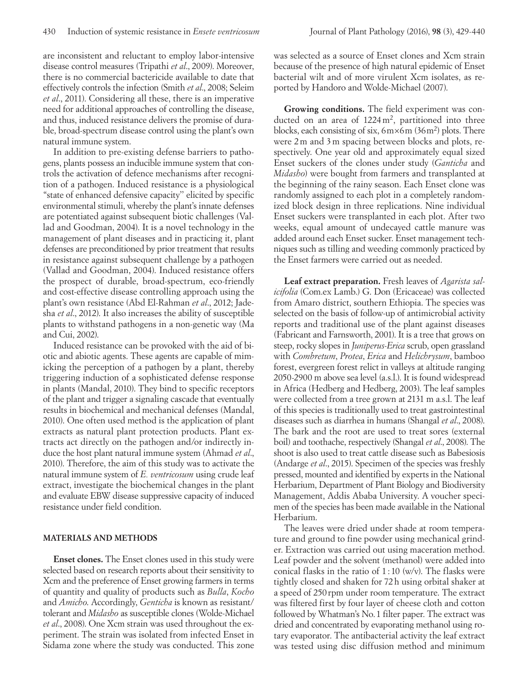are inconsistent and reluctant to employ labor-intensive disease control measures (Tripathi *et al*., 2009). Moreover, there is no commercial bactericide available to date that effectively controls the infection (Smith *et al*., 2008; Seleim *et al*., 2011). Considering all these, there is an imperative need for additional approaches of controlling the disease, and thus, induced resistance delivers the promise of durable, broad-spectrum disease control using the plant's own natural immune system.

In addition to pre-existing defense barriers to pathogens, plants possess an inducible immune system that controls the activation of defence mechanisms after recognition of a pathogen. Induced resistance is a physiological "state of enhanced defensive capacity'' elicited by specific environmental stimuli, whereby the plant's innate defenses are potentiated against subsequent biotic challenges (Vallad and Goodman, 2004). It is a novel technology in the management of plant diseases and in practicing it, plant defenses are preconditioned by prior treatment that results in resistance against subsequent challenge by a pathogen (Vallad and Goodman, 2004). Induced resistance offers the prospect of durable, broad-spectrum, eco-friendly and cost-effective disease controlling approach using the plant's own resistance (Abd El-Rahman *et al*., 2012; Jadesha *et al*., 2012). It also increases the ability of susceptible plants to withstand pathogens in a non-genetic way (Ma and Cui, 2002).

Induced resistance can be provoked with the aid of biotic and abiotic agents. These agents are capable of mimicking the perception of a pathogen by a plant, thereby triggering induction of a sophisticated defense response in plants (Mandal, 2010). They bind to specific receptors of the plant and trigger a signaling cascade that eventually results in biochemical and mechanical defenses (Mandal, 2010). One often used method is the application of plant extracts as natural plant protection products. Plant extracts act directly on the pathogen and/or indirectly induce the host plant natural immune system (Ahmad *et al*., 2010). Therefore, the aim of this study was to activate the natural immune system of *E. ventricosum* using crude leaf extract, investigate the biochemical changes in the plant and evaluate EBW disease suppressive capacity of induced resistance under field condition.

## **MATERIALS AND METHODS**

**Enset clones.** The Enset clones used in this study were selected based on research reports about their sensitivity to Xcm and the preference of Enset growing farmers in terms of quantity and quality of products such as *Bulla*, *Kocho* and *Amicho*. Accordingly, *Genticha* is known as resistant/ tolerant and *Midasho* as susceptible clones (Wolde-Michael *et al*., 2008). One Xcm strain was used throughout the experiment. The strain was isolated from infected Enset in Sidama zone where the study was conducted. This zone

was selected as a source of Enset clones and Xcm strain because of the presence of high natural epidemic of Enset bacterial wilt and of more virulent Xcm isolates, as reported by Handoro and Wolde-Michael (2007).

**Growing conditions.** The field experiment was conducted on an area of  $1224 \text{ m}^2$ , partitioned into three blocks, each consisting of six, 6m×6m (36m2 ) plots. There were 2m and 3m spacing between blocks and plots, respectively. One year old and approximately equal sized Enset suckers of the clones under study (*Ganticha* and *Midasho*) were bought from farmers and transplanted at the beginning of the rainy season. Each Enset clone was randomly assigned to each plot in a completely randomized block design in three replications. Nine individual Enset suckers were transplanted in each plot. After two weeks, equal amount of undecayed cattle manure was added around each Enset sucker. Enset management techniques such as tilling and weeding commonly practiced by the Enset farmers were carried out as needed.

**Leaf extract preparation.** Fresh leaves of *Agarista salicifolia* (Com.ex Lamb.) G. Don (Ericaceae) was collected from Amaro district, southern Ethiopia. The species was selected on the basis of follow-up of antimicrobial activity reports and traditional use of the plant against diseases (Fabricant and Farnsworth, 2001). It is a tree that grows on steep, rocky slopes in *Juniperus-Erica* scrub, open grassland with *Combretum*, *Protea*, *Erica* and *Helichrysum*, bamboo forest, evergreen forest relict in valleys at altitude ranging 2050-2900 m above sea level (a.s.l.). It is found widespread in Africa (Hedberg and Hedberg, 2003). The leaf samples were collected from a tree grown at 2131 m a.s.l. The leaf of this species is traditionally used to treat gastrointestinal diseases such as diarrhea in humans (Shangal *et al*., 2008). The bark and the root are used to treat sores (external boil) and toothache, respectively (Shangal *et al*., 2008). The shoot is also used to treat cattle disease such as Babesiosis (Andarge *et al*., 2015). Specimen of the species was freshly pressed, mounted and identified by experts in the National Herbarium, Department of Plant Biology and Biodiversity Management, Addis Ababa University. A voucher specimen of the species has been made available in the National Herbarium.

The leaves were dried under shade at room temperature and ground to fine powder using mechanical grinder. Extraction was carried out using maceration method. Leaf powder and the solvent (methanol) were added into conical flasks in the ratio of  $1:10 \text{ (w/v)}$ . The flasks were tightly closed and shaken for 72h using orbital shaker at a speed of 250rpm under room temperature. The extract was filtered first by four layer of cheese cloth and cotton followed by Whatman's No.1 filter paper. The extract was dried and concentrated by evaporating methanol using rotary evaporator. The antibacterial activity the leaf extract was tested using disc diffusion method and minimum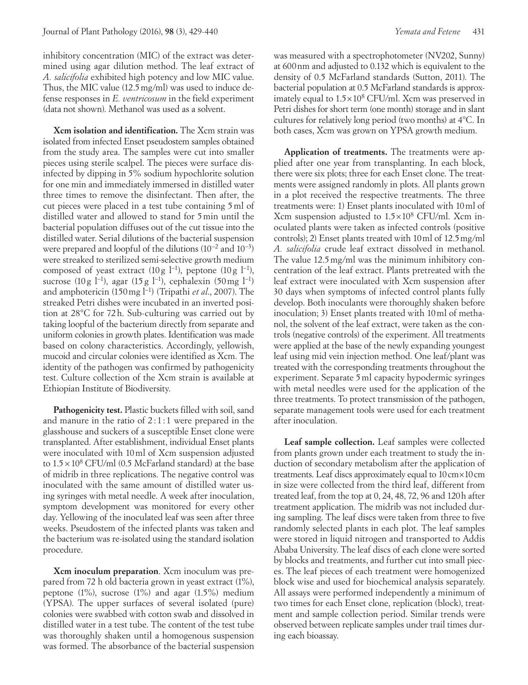inhibitory concentration (MIC) of the extract was determined using agar dilution method. The leaf extract of *A. salicifolia* exhibited high potency and low MIC value. Thus, the MIC value (12.5mg/ml) was used to induce defense responses in *E. ventricosum* in the field experiment (data not shown). Methanol was used as a solvent.

**Xcm isolation and identification.** The Xcm strain was isolated from infected Enset pseudostem samples obtained from the study area. The samples were cut into smaller pieces using sterile scalpel. The pieces were surface disinfected by dipping in 5% sodium hypochlorite solution for one min and immediately immersed in distilled water three times to remove the disinfectant. Then after, the cut pieces were placed in a test tube containing 5ml of distilled water and allowed to stand for 5min until the bacterial population diffuses out of the cut tissue into the distilled water. Serial dilutions of the bacterial suspension were prepared and loopful of the dilutions (10−2 and 10−3) were streaked to sterilized semi-selective growth medium composed of yeast extract (10 g  $l^{-1}$ ), peptone (10 g  $l^{-1}$ ), sucrose (10 g l<sup>-1</sup>), agar (15 g l<sup>-1</sup>), cephalexin (50 mg l<sup>-1</sup>) and amphotericin (150mg l−1) (Tripathi *et al*., 2007). The streaked Petri dishes were incubated in an inverted position at 28°C for 72h. Sub-culturing was carried out by taking loopful of the bacterium directly from separate and uniform colonies in growth plates. Identification was made based on colony characteristics. Accordingly, yellowish, mucoid and circular colonies were identified as Xcm. The identity of the pathogen was confirmed by pathogenicity test. Culture collection of the Xcm strain is available at Ethiopian Institute of Biodiversity.

**Pathogenicity test.** Plastic buckets filled with soil, sand and manure in the ratio of  $2:1:1$  were prepared in the glasshouse and suckers of a susceptible Enset clone were transplanted. After establishment, individual Enset plants were inoculated with 10ml of Xcm suspension adjusted to  $1.5 \times 10^8$  CFU/ml (0.5 McFarland standard) at the base of midrib in three replications. The negative control was inoculated with the same amount of distilled water using syringes with metal needle. A week after inoculation, symptom development was monitored for every other day. Yellowing of the inoculated leaf was seen after three weeks. Pseudostem of the infected plants was taken and the bacterium was re-isolated using the standard isolation procedure.

**Xcm inoculum preparation**. Xcm inoculum was prepared from 72 h old bacteria grown in yeast extract (1%), peptone  $(1\%)$ , sucrose  $(1\%)$  and agar  $(1.5\%)$  medium (YPSA). The upper surfaces of several isolated (pure) colonies were swabbed with cotton swab and dissolved in distilled water in a test tube. The content of the test tube was thoroughly shaken until a homogenous suspension was formed. The absorbance of the bacterial suspension

was measured with a spectrophotometer (NV202, Sunny) at 600nm and adjusted to 0.132 which is equivalent to the density of 0.5 McFarland standards (Sutton, 2011). The bacterial population at 0.5 McFarland standards is approximately equal to  $1.5 \times 10^8$  CFU/ml. Xcm was preserved in Petri dishes for short term (one month) storage and in slant cultures for relatively long period (two months) at 4°C. In both cases, Xcm was grown on YPSA growth medium.

**Application of treatments.** The treatments were applied after one year from transplanting. In each block, there were six plots; three for each Enset clone. The treatments were assigned randomly in plots. All plants grown in a plot received the respective treatments. The three treatments were: 1) Enset plants inoculated with 10ml of Xcm suspension adjusted to 1.5×108 CFU/ml. Xcm inoculated plants were taken as infected controls (positive controls); 2) Enset plants treated with 10ml of 12.5mg/ml *A. salicifolia* crude leaf extract dissolved in methanol. The value 12.5mg/ml was the minimum inhibitory concentration of the leaf extract. Plants pretreated with the leaf extract were inoculated with Xcm suspension after 30 days when symptoms of infected control plants fully develop. Both inoculants were thoroughly shaken before inoculation; 3) Enset plants treated with 10ml of methanol, the solvent of the leaf extract, were taken as the controls (negative controls) of the experiment. All treatments were applied at the base of the newly expanding youngest leaf using mid vein injection method. One leaf/plant was treated with the corresponding treatments throughout the experiment. Separate 5ml capacity hypodermic syringes with metal needles were used for the application of the three treatments. To protect transmission of the pathogen, separate management tools were used for each treatment after inoculation.

**Leaf sample collection.** Leaf samples were collected from plants grown under each treatment to study the induction of secondary metabolism after the application of treatments. Leaf discs approximately equal to 10cm×10cm in size were collected from the third leaf, different from treated leaf, from the top at 0, 24, 48, 72, 96 and 120h after treatment application. The midrib was not included during sampling. The leaf discs were taken from three to five randomly selected plants in each plot. The leaf samples were stored in liquid nitrogen and transported to Addis Ababa University. The leaf discs of each clone were sorted by blocks and treatments, and further cut into small pieces. The leaf pieces of each treatment were homogenized block wise and used for biochemical analysis separately. All assays were performed independently a minimum of two times for each Enset clone, replication (block), treatment and sample collection period. Similar trends were observed between replicate samples under trail times during each bioassay.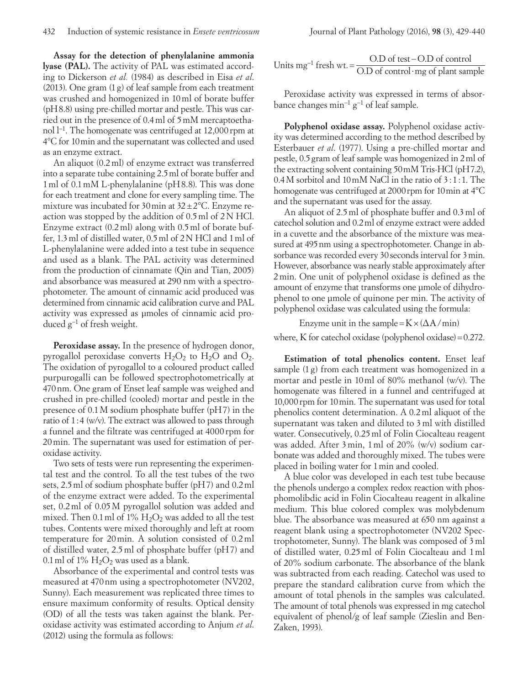**Assay for the detection of phenylalanine ammonia lyase (PAL).** The activity of PAL was estimated according to Dickerson *et al.* (1984) as described in Eisa *et al*. (2013). One gram (1g) of leaf sample from each treatment was crushed and homogenized in 10ml of borate buffer (pH8.8) using pre-chilled mortar and pestle. This was carried out in the presence of 0.4ml of 5mM mercaptoethanol l−1. The homogenate was centrifuged at 12,000rpm at 4°C for 10min and the supernatant was collected and used as an enzyme extract.

An aliquot (0.2ml) of enzyme extract was transferred into a separate tube containing 2.5ml of borate buffer and 1ml of 0.1mM L-phenylalanine (pH8.8). This was done for each treatment and clone for every sampling time. The mixture was incubated for 30 min at  $32 \pm 2$ °C. Enzyme reaction was stopped by the addition of 0.5ml of 2N HCl. Enzyme extract (0.2ml) along with 0.5ml of borate buffer, 1.3ml of distilled water, 0.5ml of 2N HCl and 1ml of L-phenylalanine were added into a test tube in sequence and used as a blank. The PAL activity was determined from the production of cinnamate (Qin and Tian, 2005) and absorbance was measured at 290 nm with a spectrophotometer. The amount of cinnamic acid produced was determined from cinnamic acid calibration curve and PAL activity was expressed as µmoles of cinnamic acid produced g−1 of fresh weight.

**Peroxidase assay.** In the presence of hydrogen donor, pyrogallol peroxidase converts  $H_2O_2$  to  $H_2O$  and  $O_2$ . The oxidation of pyrogallol to a coloured product called purpurogalli can be followed spectrophotometrically at 470nm. One gram of Enset leaf sample was weighed and crushed in pre-chilled (cooled) mortar and pestle in the presence of 0.1M sodium phosphate buffer (pH7) in the ratio of 1:4 (w/v). The extract was allowed to pass through a funnel and the filtrate was centrifuged at 4000 rpm for 20min. The supernatant was used for estimation of peroxidase activity.

Two sets of tests were run representing the experimental test and the control. To all the test tubes of the two sets, 2.5ml of sodium phosphate buffer (pH7) and 0.2ml of the enzyme extract were added. To the experimental set, 0.2ml of 0.05M pyrogallol solution was added and mixed. Then 0.1 ml of  $1\%$   $H_2O_2$  was added to all the test tubes. Contents were mixed thoroughly and left at room temperature for 20min. A solution consisted of 0.2ml of distilled water, 2.5ml of phosphate buffer (pH7) and 0.1 ml of  $1\%$  H<sub>2</sub>O<sub>2</sub> was used as a blank.

Absorbance of the experimental and control tests was measured at 470nm using a spectrophotometer (NV202, Sunny). Each measurement was replicated three times to ensure maximum conformity of results. Optical density (OD) of all the tests was taken against the blank. Peroxidase activity was estimated according to Anjum *et al*. (2012) using the formula as follows:

Units mg<sup>-1</sup> fresh wt. =  $\frac{O.D \text{ of test} - O.D \text{ of control}}{O.D \text{ of control} \cdot \text{mg of plant sample}}$ 

Peroxidase activity was expressed in terms of absorbance changes min−1 g−1 of leaf sample.

**Polyphenol oxidase assay.** Polyphenol oxidase activity was determined according to the method described by Esterbauer *et al*. (1977). Using a pre-chilled mortar and pestle, 0.5gram of leaf sample was homogenized in 2ml of the extracting solvent containing 50mM Tris-HCl (pH7.2), 0.4M sorbitol and 10mM NaCl in the ratio of 3:1:1. The homogenate was centrifuged at 2000 rpm for 10 min at 4°C and the supernatant was used for the assay.

An aliquot of 2.5ml of phosphate buffer and 0.3ml of catechol solution and 0.2ml of enzyme extract were added in a cuvette and the absorbance of the mixture was measured at 495 nm using a spectrophotometer. Change in absorbance was recorded every 30 seconds interval for 3 min. However, absorbance was nearly stable approximately after 2min. One unit of polyphenol oxidase is defined as the amount of enzyme that transforms one μmole of dihydrophenol to one μmole of quinone per min. The activity of polyphenol oxidase was calculated using the formula:

Enzyme unit in the sample= $K \times (\Delta A / min)$ 

where, K for catechol oxidase (polyphenol oxidase)  $=0.272$ .

**Estimation of total phenolics content.** Enset leaf sample (1 g) from each treatment was homogenized in a mortar and pestle in 10ml of 80% methanol (w/v). The homogenate was filtered in a funnel and centrifuged at 10,000rpm for 10min. The supernatant was used for total phenolics content determination. A 0.2ml aliquot of the supernatant was taken and diluted to 3ml with distilled water. Consecutively, 0.25ml of Folin Ciocalteau reagent was added. After 3min, 1ml of 20% (w/v) sodium carbonate was added and thoroughly mixed. The tubes were placed in boiling water for 1min and cooled.

A blue color was developed in each test tube because the phenols undergo a complex redox reaction with phosphomolibdic acid in Folin Ciocalteau reagent in alkaline medium. This blue colored complex was molybdenum blue. The absorbance was measured at 650 nm against a reagent blank using a spectrophotometer (NV202 Spectrophotometer, Sunny). The blank was composed of 3ml of distilled water, 0.25ml of Folin Ciocalteau and 1ml of 20% sodium carbonate. The absorbance of the blank was subtracted from each reading. Catechol was used to prepare the standard calibration curve from which the amount of total phenols in the samples was calculated. The amount of total phenols was expressed in mg catechol equivalent of phenol/g of leaf sample (Zieslin and Ben-Zaken, 1993).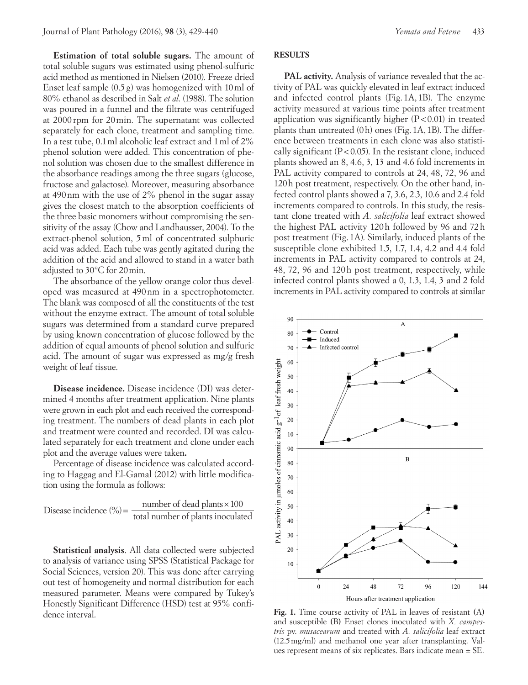**Estimation of total soluble sugars.** The amount of total soluble sugars was estimated using phenol-sulfuric acid method as mentioned in Nielsen (2010). Freeze dried Enset leaf sample (0.5 g) was homogenized with 10ml of 80% ethanol as described in Salt *et al*. (1988). The solution was poured in a funnel and the filtrate was centrifuged at 2000 rpm for 20min. The supernatant was collected separately for each clone, treatment and sampling time. In a test tube, 0.1ml alcoholic leaf extract and 1ml of 2% phenol solution were added. This concentration of phenol solution was chosen due to the smallest difference in the absorbance readings among the three sugars (glucose, fructose and galactose). Moreover, measuring absorbance at 490nm with the use of 2% phenol in the sugar assay gives the closest match to the absorption coefficients of the three basic monomers without compromising the sensitivity of the assay (Chow and Landhausser, 2004). To the extract-phenol solution, 5ml of concentrated sulphuric acid was added. Each tube was gently agitated during the addition of the acid and allowed to stand in a water bath adjusted to 30°C for 20min.

The absorbance of the yellow orange color thus developed was measured at 490nm in a spectrophotometer. The blank was composed of all the constituents of the test without the enzyme extract. The amount of total soluble sugars was determined from a standard curve prepared by using known concentration of glucose followed by the addition of equal amounts of phenol solution and sulfuric acid. The amount of sugar was expressed as mg/g fresh weight of leaf tissue.

**Disease incidence.** Disease incidence (DI) was determined 4 months after treatment application. Nine plants were grown in each plot and each received the corresponding treatment. The numbers of dead plants in each plot and treatment were counted and recorded. DI was calculated separately for each treatment and clone under each plot and the average values were taken**.** 

Percentage of disease incidence was calculated according to Haggag and El-Gamal (2012) with little modification using the formula as follows:

Disease incidence  $(\%) = \frac{\text{number of dead plants} \times 100}{\text{total number of plants inoculated}}$ 

**Statistical analysis**. All data collected were subjected to analysis of variance using SPSS (Statistical Package for Social Sciences, version 20). This was done after carrying out test of homogeneity and normal distribution for each measured parameter. Means were compared by Tukey's Honestly Significant Difference (HSD) test at 95% confidence interval.

**PAL activity.** Analysis of variance revealed that the activity of PAL was quickly elevated in leaf extract induced and infected control plants (Fig. 1A, 1B). The enzyme activity measured at various time points after treatment application was significantly higher  $(P<0.01)$  in treated plants than untreated (0h) ones (Fig. 1A, 1B). The difference between treatments in each clone was also statistically significant  $(P<0.05)$ . In the resistant clone, induced plants showed an 8, 4.6, 3, 13 and 4.6 fold increments in PAL activity compared to controls at 24, 48, 72, 96 and 120h post treatment, respectively. On the other hand, infected control plants showed a 7, 3.6, 2.3, 10.6 and 2.4 fold increments compared to controls. In this study, the resistant clone treated with *A. salicifolia* leaf extract showed the highest PAL activity 120h followed by 96 and 72h post treatment (Fig. 1A). Similarly, induced plants of the susceptible clone exhibited 1.5, 1.7, 1.4, 4.2 and 4.4 fold increments in PAL activity compared to controls at 24, 48, 72, 96 and 120h post treatment, respectively, while infected control plants showed a 0, 1.3, 1.4, 3 and 2 fold increments in PAL activity compared to controls at similar

 $\overline{\mathbf{B}}$ 80 70 60 50  $40$ 30 20 10  $\boldsymbol{0}$ 24 48 72 96 120 144 Hours after treatment application **Fig. 1.** Time course activity of PAL in leaves of resistant **(**A**)** and susceptible **(**B**)** Enset clones inoculated with *X. campestris* pv. *musacearum* and treated with *A. salicifolia* leaf extract (12.5mg/ml) and methanol one year after transplanting. Val-

ues represent means of six replicates. Bars indicate mean  $\pm$  SE.

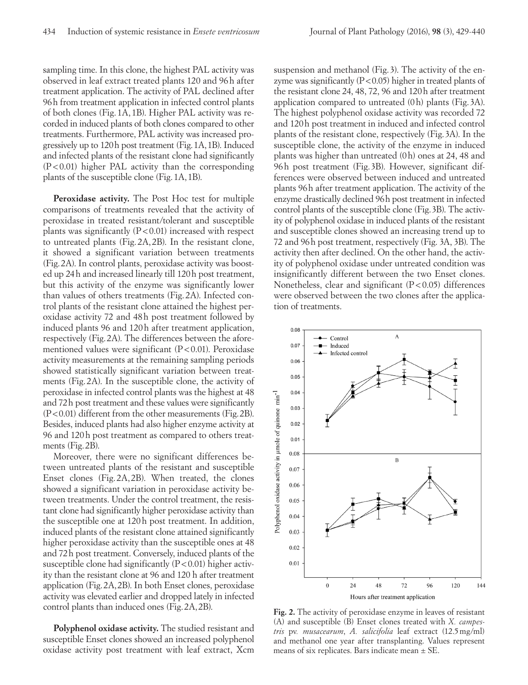sampling time. In this clone, the highest PAL activity was observed in leaf extract treated plants 120 and 96h after treatment application. The activity of PAL declined after 96h from treatment application in infected control plants of both clones (Fig. 1A, 1B). Higher PAL activity was recorded in induced plants of both clones compared to other treatments. Furthermore, PAL activity was increased progressively up to 120h post treatment (Fig.1A,1B). Induced and infected plants of the resistant clone had significantly (P<0.01) higher PAL activity than the corresponding plants of the susceptible clone (Fig.1A,1B).

**Peroxidase activity.** The Post Hoc test for multiple comparisons of treatments revealed that the activity of peroxidase in treated resistant/tolerant and susceptible plants was significantly  $(P<0.01)$  increased with respect to untreated plants (Fig. 2A, 2B). In the resistant clone, it showed a significant variation between treatments (Fig.2A). In control plants, peroxidase activity was boosted up 24h and increased linearly till 120h post treatment, but this activity of the enzyme was significantly lower than values of others treatments (Fig. 2A). Infected control plants of the resistant clone attained the highest peroxidase activity 72 and 48h post treatment followed by induced plants 96 and 120h after treatment application, respectively (Fig.2A). The differences between the aforementioned values were significant  $(P<0.01)$ . Peroxidase activity measurements at the remaining sampling periods showed statistically significant variation between treatments (Fig. 2A). In the susceptible clone, the activity of peroxidase in infected control plants was the highest at 48 and 72h post treatment and these values were significantly (P<0.01) different from the other measurements (Fig.2B). Besides, induced plants had also higher enzyme activity at 96 and 120h post treatment as compared to others treatments (Fig.2B).

Moreover, there were no significant differences between untreated plants of the resistant and susceptible Enset clones (Fig. 2A, 2B). When treated, the clones showed a significant variation in peroxidase activity between treatments. Under the control treatment, the resistant clone had significantly higher peroxidase activity than the susceptible one at 120h post treatment. In addition, induced plants of the resistant clone attained significantly higher peroxidase activity than the susceptible ones at 48 and 72h post treatment. Conversely, induced plants of the susceptible clone had significantly  $(P<0.01)$  higher activity than the resistant clone at 96 and 120 h after treatment application (Fig.2A,2B). In both Enset clones, peroxidase activity was elevated earlier and dropped lately in infected control plants than induced ones (Fig.2A,2B).

**Polyphenol oxidase activity.** The studied resistant and susceptible Enset clones showed an increased polyphenol oxidase activity post treatment with leaf extract, Xcm suspension and methanol (Fig. 3). The activity of the enzyme was significantly  $(P<0.05)$  higher in treated plants of the resistant clone 24, 48, 72, 96 and 120h after treatment application compared to untreated (0h) plants (Fig. 3A). The highest polyphenol oxidase activity was recorded 72 and 120h post treatment in induced and infected control plants of the resistant clone, respectively (Fig.3A). In the susceptible clone, the activity of the enzyme in induced plants was higher than untreated (0h) ones at 24, 48 and 96h post treatment (Fig. 3B). However, significant differences were observed between induced and untreated plants 96h after treatment application. The activity of the enzyme drastically declined 96h post treatment in infected control plants of the susceptible clone (Fig.3B). The activity of polyphenol oxidase in induced plants of the resistant and susceptible clones showed an increasing trend up to 72 and 96h post treatment, respectively (Fig. 3A, 3B). The activity then after declined. On the other hand, the activity of polyphenol oxidase under untreated condition was insignificantly different between the two Enset clones. Nonetheless, clear and significant  $(P<0.05)$  differences were observed between the two clones after the application of treatments.



**Fig. 2.** The activity of peroxidase enzyme in leaves of resistant (A) and susceptible (B) Enset clones treated with *X. campestris* pv*. musacearum*, *A. salicifolia* leaf extract (12.5mg/ml) and methanol one year after transplanting. Values represent means of six replicates. Bars indicate mean  $\pm$  SE.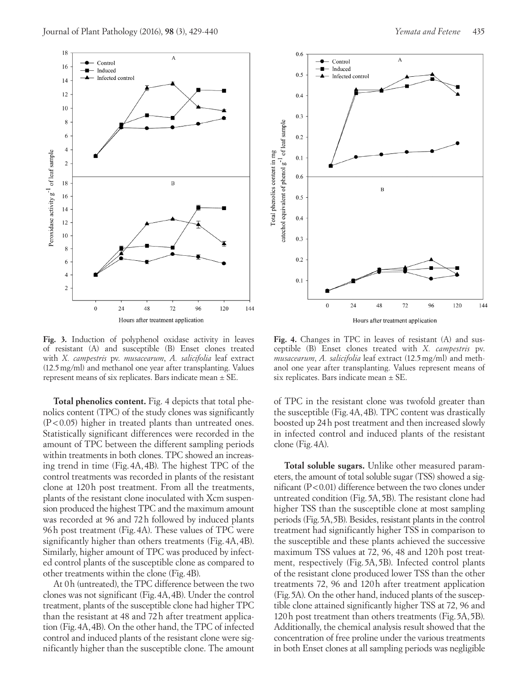



**Fig. 3.** Induction of polyphenol oxidase activity in leaves of resistant (A) and susceptible (B) Enset clones treated with *X. campestris* pv. *musacearum*, *A. salicifolia* leaf extract (12.5mg/ml) and methanol one year after transplanting. Values represent means of six replicates. Bars indicate mean ± SE.

**Total phenolics content.** Fig. 4 depicts that total phenolics content (TPC) of the study clones was significantly (P<0.05) higher in treated plants than untreated ones. Statistically significant differences were recorded in the amount of TPC between the different sampling periods within treatments in both clones. TPC showed an increasing trend in time (Fig. 4A, 4B). The highest TPC of the control treatments was recorded in plants of the resistant clone at 120h post treatment. From all the treatments, plants of the resistant clone inoculated with Xcm suspension produced the highest TPC and the maximum amount was recorded at 96 and 72h followed by induced plants 96h post treatment (Fig. 4A). These values of TPC were significantly higher than others treatments (Fig. 4A, 4B). Similarly, higher amount of TPC was produced by infected control plants of the susceptible clone as compared to other treatments within the clone (Fig.4B).

At 0h (untreated), the TPC difference between the two clones was not significant (Fig.4A,4B). Under the control treatment, plants of the susceptible clone had higher TPC than the resistant at 48 and 72h after treatment application (Fig.4A,4B). On the other hand, the TPC of infected control and induced plants of the resistant clone were significantly higher than the susceptible clone. The amount



**Fig. 4.** Changes in TPC in leaves of resistant (A) and susceptible (B) Enset clones treated with *X. campestris* pv. *musacearum*, *A. salicifolia* leaf extract (12.5mg/ml) and methanol one year after transplanting. Values represent means of six replicates. Bars indicate mean ± SE.

of TPC in the resistant clone was twofold greater than the susceptible (Fig.4A,4B). TPC content was drastically boosted up 24h post treatment and then increased slowly in infected control and induced plants of the resistant clone (Fig.4A).

**Total soluble sugars.** Unlike other measured parameters, the amount of total soluble sugar (TSS) showed a significant (P<0.01) difference between the two clones under untreated condition (Fig.5A,5B). The resistant clone had higher TSS than the susceptible clone at most sampling periods (Fig.5A,5B). Besides, resistant plants in the control treatment had significantly higher TSS in comparison to the susceptible and these plants achieved the successive maximum TSS values at 72, 96, 48 and 120h post treatment, respectively (Fig. 5A, 5B). Infected control plants of the resistant clone produced lower TSS than the other treatments 72, 96 and 120h after treatment application (Fig.5A). On the other hand, induced plants of the susceptible clone attained significantly higher TSS at 72, 96 and 120h post treatment than others treatments (Fig.5A,5B). Additionally, the chemical analysis result showed that the concentration of free proline under the various treatments in both Enset clones at all sampling periods was negligible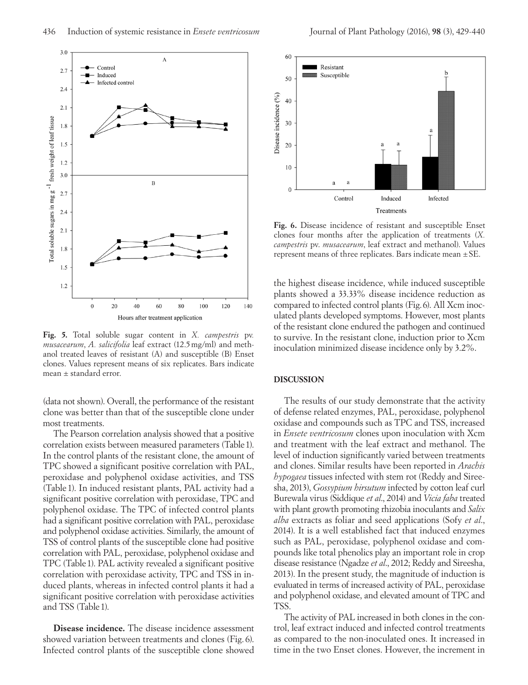

**Fig. 5.** Total soluble sugar content in *X. campestris* pv*. musacearum*, *A. salicifolia* leaf extract (12.5mg/ml) and methanol treated leaves of resistant (A) and susceptible (B) Enset clones. Values represent means of six replicates. Bars indicate mean ± standard error.

(data not shown). Overall, the performance of the resistant clone was better than that of the susceptible clone under most treatments.

The Pearson correlation analysis showed that a positive correlation exists between measured parameters (Table1). In the control plants of the resistant clone, the amount of TPC showed a significant positive correlation with PAL, peroxidase and polyphenol oxidase activities, and TSS (Table 1). In induced resistant plants, PAL activity had a significant positive correlation with peroxidase, TPC and polyphenol oxidase. The TPC of infected control plants had a significant positive correlation with PAL, peroxidase and polyphenol oxidase activities. Similarly, the amount of TSS of control plants of the susceptible clone had positive correlation with PAL, peroxidase, polyphenol oxidase and TPC (Table 1). PAL activity revealed a significant positive correlation with peroxidase activity, TPC and TSS in induced plants, whereas in infected control plants it had a significant positive correlation with peroxidase activities and TSS (Table 1).

**Disease incidence.** The disease incidence assessment showed variation between treatments and clones (Fig. 6). Infected control plants of the susceptible clone showed



**Fig. 6.** Disease incidence of resistant and susceptible Enset clones four months after the application of treatments (*X. campestris* pv. *musacearum*, leaf extract and methanol). Values represent means of three replicates. Bars indicate mean ±SE.

the highest disease incidence, while induced susceptible plants showed a 33.33% disease incidence reduction as compared to infected control plants (Fig.6). All Xcm inoculated plants developed symptoms. However, most plants of the resistant clone endured the pathogen and continued to survive. In the resistant clone, induction prior to Xcm inoculation minimized disease incidence only by 3.2%.

### **DISCUSSION**

The results of our study demonstrate that the activity of defense related enzymes, PAL, peroxidase, polyphenol oxidase and compounds such as TPC and TSS, increased in *Ensete ventricosum* clones upon inoculation with Xcm and treatment with the leaf extract and methanol. The level of induction significantly varied between treatments and clones. Similar results have been reported in *Arachis hypogaea* tissues infected with stem rot (Reddy and Sireesha, 2013), *Gossypium hirsutum* infected by cotton leaf curl Burewala virus (Siddique *et al*., 2014) and *Vicia faba* treated with plant growth promoting rhizobia inoculants and *Salix alba* extracts as foliar and seed applications (Sofy *et al*., 2014). It is a well established fact that induced enzymes such as PAL, peroxidase, polyphenol oxidase and compounds like total phenolics play an important role in crop disease resistance (Ngadze *et al*., 2012; Reddy and Sireesha, 2013). In the present study, the magnitude of induction is evaluated in terms of increased activity of PAL, peroxidase and polyphenol oxidase, and elevated amount of TPC and TSS.

The activity of PAL increased in both clones in the control, leaf extract induced and infected control treatments as compared to the non-inoculated ones. It increased in time in the two Enset clones. However, the increment in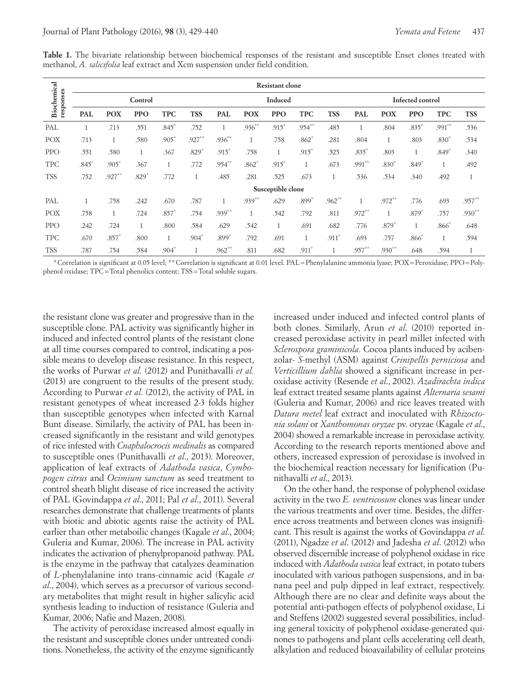|                          | <b>Resistant clone</b> |            |              |              |            |            |            |              |              |              |                         |              |              |              |              |
|--------------------------|------------------------|------------|--------------|--------------|------------|------------|------------|--------------|--------------|--------------|-------------------------|--------------|--------------|--------------|--------------|
| Biochemical<br>responses | Control                |            |              |              |            | Induced    |            |              |              |              | <b>Infected control</b> |              |              |              |              |
|                          | <b>PAL</b>             | <b>POX</b> | <b>PPO</b>   | <b>TPC</b>   | <b>TSS</b> | <b>PAL</b> | <b>POX</b> | <b>PPO</b>   | <b>TPC</b>   | <b>TSS</b>   | <b>PAL</b>              | <b>POX</b>   | <b>PPO</b>   | <b>TPC</b>   | <b>TSS</b>   |
| PAL                      | $\mathbf{1}$           | .713       | .551         | $.845*$      | .752       |            | $.936***$  | $.915*$      | $.954***$    | .485         |                         | .804         | $.835*$      | $.991***$    | .536         |
| <b>POX</b>               | .713                   |            | .580         | $.905*$      | $.927***$  | $.936***$  | 1          | .758         | $.862*$      | .281         | .804                    | $\mathbf{1}$ | .803         | $.830*$      | .534         |
| <b>PPO</b>               | .551                   | .580       | $\mathbf{1}$ | .367         | $.829*$    | $.915*$    | .758       | $\mathbf{1}$ | $.915*$      | .525         | $.835*$                 | .803         | $\mathbf{1}$ | $.849*$      | .340         |
| <b>TPC</b>               | $.845*$                | $.905*$    | .367         | $\mathbf{1}$ | .772       | $.954***$  | $.862*$    | $.915*$      | $\mathbf{1}$ | .673         | $.991***$               | $.830*$      | $.849*$      | $\mathbf{1}$ | .492         |
| <b>TSS</b>               | .752                   | $.927***$  | $.829*$      | .772         | T          | .485       | .281       | .525         | .673         | $\mathbf{1}$ | .536                    | .534         | .340         | .492         | $\mathbf{1}$ |
| Susceptible clone        |                        |            |              |              |            |            |            |              |              |              |                         |              |              |              |              |
| PAL                      | $\mathbf{1}$           | .758       | .242         | .670         | .787       |            | $.939**$   | .629         | $.899*$      | $.962***$    |                         | $.972***$    | .776         | .693         | $.957**$     |
| <b>POX</b>               | .758                   |            | .724         | $.857*$      | .754       | $.939***$  | 1          | .542         | .792         | .811         | $.972***$               |              | $.879*$      | .757         | $.930**$     |
| <b>PPO</b>               | .242                   | .724       |              | .800         | .584       | .629       | .542       |              | .691         | .682         | .776                    | $.879*$      |              | $.866*$      | .648         |
| <b>TPC</b>               | .670                   | $.857*$    | .800         | $\mathbf{1}$ | $.904*$    | .899*      | .792       | .691         | $\mathbf{1}$ | $.911*$      | .693                    | .757         | $.866*$      |              | .594         |
| <b>TSS</b>               | .787                   | .754       | .584         | $.904*$      |            | $.962$ **  | .811       | .682         | $.911*$      |              | $.957***$               | $.930**$     | .648         | .594         | $\mathbf{1}$ |

**Table 1.** The bivariate relationship between biochemical responses of the resistant and susceptible Enset clones treated with methanol, *A. salicifolia* leaf extract and Xcm suspension under field condition.

\*Correlation is significant at 0.05 level; \*\*Correlation is significant at 0.01 level. PAL=Phenylalanine ammonia lyase; POX=Peroxidase; PPO=Polyphenol oxidase; TPC=Total phenolics content; TSS=Total soluble sugars.

the resistant clone was greater and progressive than in the susceptible clone. PAL activity was significantly higher in induced and infected control plants of the resistant clone at all time courses compared to control, indicating a possible means to develop disease resistance. In this respect, the works of Purwar *et al*. (2012) and Punithavalli *et al.* (2013) are congruent to the results of the present study. According to Purwar *et al*. (2012), the activity of PAL in resistant genotypes of wheat increased 2-3 folds higher than susceptible genotypes when infected with Karnal Bunt disease. Similarly, the activity of PAL has been increased significantly in the resistant and wild genotypes of rice infested with *Cnaphalocrocis medinalis* as compared to susceptible ones (Punithavalli *et al*., 2013). Moreover, application of leaf extracts of *Adathoda vasica*, *Cymbopogen citrus* and *Ocimium sanctum* as seed treatment to control sheath blight disease of rice increased the activity of PAL (Govindappa *et al*., 2011; Pal *et al*., 2011). Several researches demonstrate that challenge treatments of plants with biotic and abiotic agents raise the activity of PAL earlier than other metaboilic changes (Kagale *et al*., 2004; Guleria and Kumar, 2006). The increase in PAL activity indicates the activation of phenylpropanoid pathway. PAL is the enzyme in the pathway that catalyzes deamination of *L*-phenylalanine into trans-cinnamic acid (Kagale *et al*., 2004), which serves as a precursor of various secondary metabolites that might result in higher salicylic acid synthesis leading to induction of resistance (Guleria and Kumar, 2006; Nafie and Mazen, 2008).

The activity of peroxidase increased almost equally in the resistant and susceptible clones under untreated conditions. Nonetheless, the activity of the enzyme significantly increased under induced and infected control plants of both clones. Similarly, Arun *et al*. (2010) reported increased peroxidase activity in pearl millet infected with *Sclerospora graminicola.* Cocoa plants induced by acibenzolar- *S*-methyl (ASM) against *Crinipellis perniciosa* and *Verticillium dahlia* showed a significant increase in peroxidase activity (Resende *et al*., 2002). *Azadirachta indica* leaf extract treated sesame plants against *Alternaria sesami* (Guleria and Kumar, 2006) and rice leaves treated with *Datura metel* leaf extract and inoculated with *Rhizoctonia solani* or *Xanthomonas oryzae* pv. oryzae (Kagale *et al*., 2004) showed a remarkable increase in peroxidase activity. According to the research reports mentioned above and others, increased expression of peroxidase is involved in the biochemical reaction necessary for lignification (Punithavalli *et al*., 2013).

On the other hand, the response of polyphenol oxidase activity in the two *E. ventricosum* clones was linear under the various treatments and over time. Besides, the difference across treatments and between clones was insignificant. This result is against the works of Govindappa *et al*. (2011), Ngadze *et al*. (2012) and Jadesha *et al*. (2012) who observed discernible increase of polyphenol oxidase in rice induced with *Adathoda vasica* leaf extract, in potato tubers inoculated with various pathogen suspensions, and in banana peel and pulp dipped in leaf extract, respectively. Although there are no clear and definite ways about the potential anti-pathogen effects of polyphenol oxidase, Li and Steffens (2002) suggested several possibilities, including general toxicity of polyphenol oxidase-generated quinones to pathogens and plant cells accelerating cell death, alkylation and reduced bioavailability of cellular proteins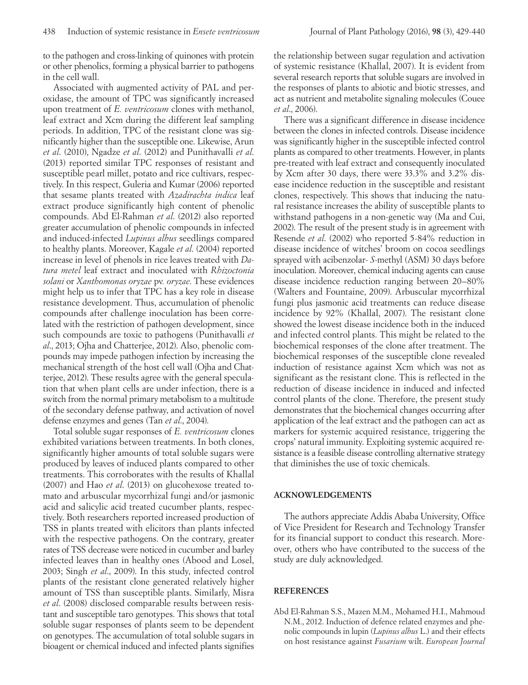to the pathogen and cross-linking of quinones with protein or other phenolics, forming a physical barrier to pathogens in the cell wall.

Associated with augmented activity of PAL and peroxidase, the amount of TPC was significantly increased upon treatment of *E. ventricosum* clones with methanol, leaf extract and Xcm during the different leaf sampling periods. In addition, TPC of the resistant clone was significantly higher than the susceptible one. Likewise, Arun *et al*. (2010), Ngadze *et al*. (2012) and Punithavalli *et al*. (2013) reported similar TPC responses of resistant and susceptible pearl millet, potato and rice cultivars, respectively. In this respect, Guleria and Kumar (2006) reported that sesame plants treated with *Azadirachta indica* leaf extract produce significantly high content of phenolic compounds. Abd El-Rahman *et al*. (2012) also reported greater accumulation of phenolic compounds in infected and induced-infected *Lupinus albus* seedlings compared to healthy plants. Moreover, Kagale *et al*. (2004) reported increase in level of phenols in rice leaves treated with *Datura metel* leaf extract and inoculated with *Rhizoctonia solani* or *Xanthomonas oryzae* pv*. oryzae*. These evidences might help us to infer that TPC has a key role in disease resistance development. Thus, accumulation of phenolic compounds after challenge inoculation has been correlated with the restriction of pathogen development, since such compounds are toxic to pathogens (Punithavalli *et al*., 2013; Ojha and Chatterjee, 2012). Also, phenolic compounds may impede pathogen infection by increasing the mechanical strength of the host cell wall (Ojha and Chatterjee, 2012). These results agree with the general speculation that when plant cells are under infection, there is a switch from the normal primary metabolism to a multitude of the secondary defense pathway, and activation of novel defense enzymes and genes (Tan *et al*., 2004).

Total soluble sugar responses of *E. ventricosum* clones exhibited variations between treatments. In both clones, significantly higher amounts of total soluble sugars were produced by leaves of induced plants compared to other treatments. This corroborates with the results of Khallal (2007) and Hao *et al*. (2013) on glucohexose treated tomato and arbuscular mycorrhizal fungi and/or jasmonic acid and salicylic acid treated cucumber plants, respectively. Both researchers reported increased production of TSS in plants treated with elicitors than plants infected with the respective pathogens. On the contrary, greater rates of TSS decrease were noticed in cucumber and barley infected leaves than in healthy ones (Abood and Losel, 2003; Singh *et al*., 2009). In this study, infected control plants of the resistant clone generated relatively higher amount of TSS than susceptible plants. Similarly, Misra *et al*. (2008) disclosed comparable results between resistant and susceptible taro genotypes. This shows that total soluble sugar responses of plants seem to be dependent on genotypes. The accumulation of total soluble sugars in bioagent or chemical induced and infected plants signifies

the relationship between sugar regulation and activation of systemic resistance (Khallal, 2007). It is evident from several research reports that soluble sugars are involved in the responses of plants to abiotic and biotic stresses, and act as nutrient and metabolite signaling molecules (Couee *et al*., 2006).

There was a significant difference in disease incidence between the clones in infected controls. Disease incidence was significantly higher in the susceptible infected control plants as compared to other treatments. However, in plants pre-treated with leaf extract and consequently inoculated by Xcm after 30 days, there were 33.3% and 3.2% disease incidence reduction in the susceptible and resistant clones, respectively. This shows that inducing the natural resistance increases the ability of susceptible plants to withstand pathogens in a non-genetic way (Ma and Cui, 2002). The result of the present study is in agreement with Resende *et al*. (2002) who reported 5-84% reduction in disease incidence of witches' broom on cocoa seedlings sprayed with acibenzolar- *S*-methyl (ASM) 30 days before inoculation. Moreover, chemical inducing agents can cause disease incidence reduction ranging between 20–80% (Walters and Fountaine, 2009). Arbuscular mycorrhizal fungi plus jasmonic acid treatments can reduce disease incidence by 92% (Khallal, 2007). The resistant clone showed the lowest disease incidence both in the induced and infected control plants. This might be related to the biochemical responses of the clone after treatment. The biochemical responses of the susceptible clone revealed induction of resistance against Xcm which was not as significant as the resistant clone. This is reflected in the reduction of disease incidence in induced and infected control plants of the clone. Therefore, the present study demonstrates that the biochemical changes occurring after application of the leaf extract and the pathogen can act as markers for systemic acquired resistance, triggering the crops' natural immunity. Exploiting systemic acquired resistance is a feasible disease controlling alternative strategy that diminishes the use of toxic chemicals.

#### **ACKNOWLEDGEMENTS**

The authors appreciate Addis Ababa University, Office of Vice President for Research and Technology Transfer for its financial support to conduct this research. Moreover, others who have contributed to the success of the study are duly acknowledged.

## **REFERENCES**

Abd El-Rahman S.S., Mazen M.M., Mohamed H.I., Mahmoud N.M., 2012. Induction of defence related enzymes and phenolic compounds in lupin (*Lupinus albus* L.) and their effects on host resistance against *Fusarium* wilt. *European Journal*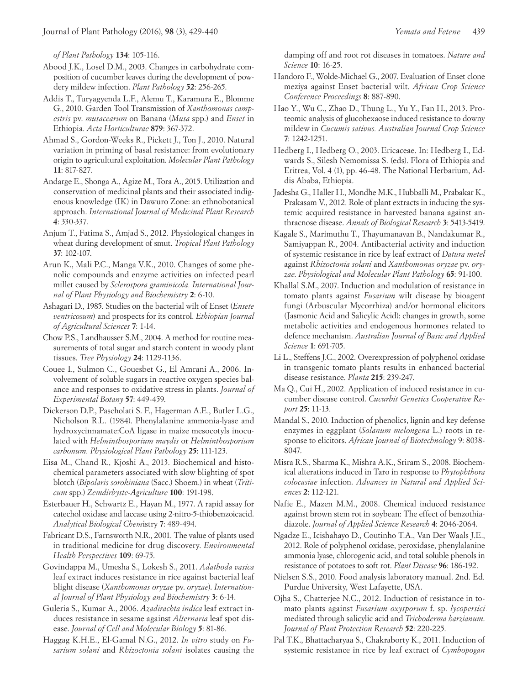*of Plant Pathology* **134**: 105-116.

- Abood J.K., Losel D.M., 2003. Changes in carbohydrate composition of cucumber leaves during the development of powdery mildew infection. *Plant Pathology* **52**: 256-265.
- Addis T., Turyagyenda L.F., Alemu T., Karamura E., Blomme G., 2010. Garden Tool Transmission of *Xanthomonas campestris* pv. *musacearum* on Banana (*Musa* spp.) and *Enset* in Ethiopia. *Acta Horticulturae* **879**: 367-372.
- Ahmad S., Gordon-Weeks R., Pickett J., Ton J., 2010. Natural variation in priming of basal resistance: from evolutionary origin to agricultural exploitation. *Molecular Plant Pathology*  **11**: 817-827.
- Andarge E., Shonga A., Agize M., Tora A., 2015. Utilization and conservation of medicinal plants and their associated indigenous knowledge (IK) in Dawuro Zone: an ethnobotanical approach. *International Journal of Medicinal Plant Research* **4**: 330-337.
- Anjum T., Fatima S., Amjad S., 2012. Physiological changes in wheat during development of smut. *Tropical Plant Pathology* **37**: 102-107.
- Arun K., Mali P.C., Manga V.K., 2010. Changes of some phenolic compounds and enzyme activities on infected pearl millet caused by *Sclerospora graminicola. International Journal of Plant Physiology and Biochemistry* **2**: 6-10.
- Ashagari D., 1985. Studies on the bacterial wilt of Enset (*Ensete ventricosum*) and prospects for its control. *Ethiopian Journal of Agricultural Sciences* **7**: 1-14.
- Chow P.S., Landhausser S.M., 2004. A method for routine measurements of total sugar and starch content in woody plant tissues. *Tree Physiology* **24**: 1129-1136.
- Couee I., Sulmon C., Gouesbet G., El Amrani A., 2006. Involvement of soluble sugars in reactive oxygen species balance and responses to oxidative stress in plants. *Journal of Experimental Botany* **57**: 449-459.
- Dickerson D.P., Pascholati S. F., Hagerman A.E., Butler L.G., Nicholson R.L. (1984). Phenylalanine ammonia-lyase and hydroxycinnamate:CoA ligase in maize mesocotyls inoculated with *Helminthosporium maydis* or *Helminthosporium carbonum. Physiological Plant Pathology* **25**: 111-123.
- Eisa M., Chand R., Kjoshi A., 2013. Biochemical and histochemical parameters associated with slow blighting of spot blotch (*Bipolaris sorokiniana* (Sacc.) Shoem.) in wheat (*Triticum* spp.) *Zemdirbyste-Agriculture* **100**: 191-198.
- Esterbauer H., Schwartz E., Hayan M., 1977. A rapid assay for catechol oxidase and laccase using 2-nitro-5-thiobenzoicacid. *Analytical Biological Chem*istry **7**: 489-494.
- Fabricant D.S., Farnsworth N.R., 2001. The value of plants used in traditional medicine for drug discovery. *Environmental Health Perspectives* **109**: 69-75.
- Govindappa M., Umesha S., Lokesh S., 2011. *Adathoda vasica*  leaf extract induces resistance in rice against bacterial leaf blight disease (*Xanthomonas oryzae* pv. *oryzae*). *International Journal of Plant Physiology and Biochemistry* **3**: 6-14.
- Guleria S., Kumar A., 2006. *Azadirachta indica* leaf extract induces resistance in sesame against *Alternaria* leaf spot disease. *Journal of Cell and Molecular Biology* **5**: 81-86.
- Haggag K.H.E., El-Gamal N.G., 2012. *In vitro* study on *Fusarium solani* and *Rhizoctonia solani* isolates causing the

damping off and root rot diseases in tomatoes. *Nature and Science* **10**: 16-25.

- Handoro F., Wolde-Michael G., 2007. Evaluation of Enset clone meziya against Enset bacterial wilt. *African Crop Science Conference Proceedings* **8**: 887-890.
- Hao Y., Wu C., Zhao D., Thung L., Yu Y., Fan H., 2013. Proteomic analysis of glucohexaose induced resistance to downy mildew in *Cucumis sativus. Australian Journal Crop Science* **7**: 1242-1251.
- Hedberg I., Hedberg O., 2003. Ericaceae. In: Hedberg I., Edwards S., Silesh Nemomissa S. (eds). Flora of Ethiopia and Eritrea, Vol. 4 (1), pp. 46-48. The National Herbarium, Addis Ababa, Ethiopia.
- Jadesha G., Haller H., Mondhe M.K., Hubballi M., Prabakar K., Prakasam V., 2012. Role of plant extracts in inducing the systemic acquired resistance in harvested banana against anthracnose disease. *Annals of Biological Research* **3**: 5413-5419.
- Kagale S., Marimuthu T., Thayumanavan B., Nandakumar R., Samiyappan R., 2004. Antibacterial activity and induction of systemic resistance in rice by leaf extract of *Datura metel* against *Rhizoctonia solani* and *Xanthomonas oryzae* pv*. oryzae*. *Physiological and Molecular Plant Pathology* **65**: 91-100.
- Khallal S.M., 2007. Induction and modulation of resistance in tomato plants against *Fusarium* wilt disease by bioagent fungi (Arbuscular Mycorrhiza) and/or hormonal elicitors (Jasmonic Acid and Salicylic Acid): changes in growth, some metabolic activities and endogenous hormones related to defence mechanism. *Australian Journal of Basic and Applied Science* **1**: 691-705.
- Li L., Steffens J.C., 2002. Overexpression of polyphenol oxidase in transgenic tomato plants results in enhanced bacterial disease resistance. *Planta* **215**: 239-247.
- Ma Q., Cui H., 2002. Application of induced resistance in cucumber disease control. *Cucurbit Genetics Cooperative Report* **25**: 11-13.
- Mandal S., 2010. Induction of phenolics, lignin and key defense enzymes in eggplant (*Solanum melongena* L.) roots in response to elicitors. *African Journal of Biotechnology* 9: 8038- 8047.
- Misra R.S., Sharma K., Mishra A.K., Sriram S., 2008. Biochemical alterations induced in Taro in response to *Phytophthora colocasiae* infection. *Advances in Natural and Applied Sciences* **2**: 112-121.
- Nafie E., Mazen M.M., 2008. Chemical induced resistance against brown stem rot in soybean: The effect of benzothiadiazole. *Journal of Applied Science Research* **4**: 2046-2064.
- Ngadze E., Icishahayo D., Coutinho T.A., Van Der Waals J.E., 2012. Role of polyphenol oxidase, peroxidase, phenylalanine ammonia lyase, chlorogenic acid, and total soluble phenols in resistance of potatoes to soft rot. *Plant Disease* **96**: 186-192.
- Nielsen S.S., 2010. Food analysis laboratory manual. 2nd. Ed*.*  Purdue University, West Lafayette, USA.
- Ojha S., Chatterjee N.C., 2012. Induction of resistance in tomato plants against *Fusarium oxysporum* f. sp. *lycopersici*  mediated through salicylic acid and *Trichoderma harzianum*. *Journal of Plant Protection Research* **52**: 220-225.
- Pal T.K., Bhattacharyaa S., Chakraborty K., 2011. Induction of systemic resistance in rice by leaf extract of *Cymbopogan*